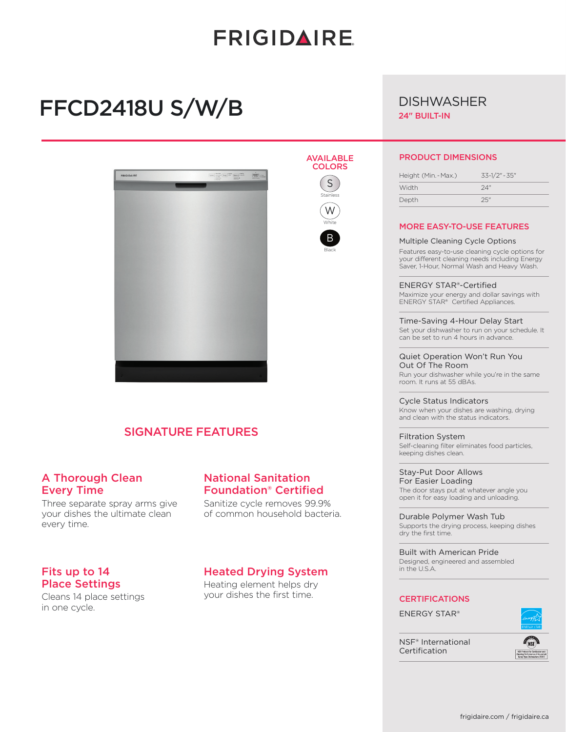# **FRIGIDAIRE**

AVAILABLE **COLORS** S Stainless W White B Black

# FFCD2418U S/W/B



## SIGNATURE FEATURES

## A Thorough Clean Every Time

Three separate spray arms give your dishes the ultimate clean every time.

## National Sanitation Foundation® Certified

Sanitize cycle removes 99.9% of common household bacteria.

### Fits up to 14 Place Settings

Cleans 14 place settings in one cycle.

### Heated Drying System

Heating element helps dry your dishes the first time.

## **DISHWASHER**

24" BUILT-IN

#### PRODUCT DIMENSIONS

| Height (Min. - Max.) |  |
|----------------------|--|
| 24"<br>Width         |  |
| 25"<br>Depth         |  |

#### MORE EASY-TO-USE FEATURES

#### Multiple Cleaning Cycle Options

Features easy-to-use cleaning cycle options for your different cleaning needs including Energy Saver, 1-Hour, Normal Wash and Heavy Wash.

ENERGY STAR®-Certified Maximize your energy and dollar savings with ENERGY STAR® Certified Appliances.

Time-Saving 4-Hour Delay Start Set your dishwasher to run on your schedule. It can be set to run 4 hours in advance.

#### Quiet Operation Won't Run You Out Of The Room

Run your dishwasher while you're in the same room. It runs at 55 dBAs.

Cycle Status Indicators Know when your dishes are washing, drying and clean with the status indicators.

Filtration System Self-cleaning filter eliminates food particles, keeping dishes clean.

Stay-Put Door Allows For Easier Loading The door stays put at whatever angle you open it for easy loading and unloading.

Durable Polymer Wash Tub Supports the drying process, keeping dishes dry the first time.

Built with American Pride Designed, engineered and assembled in the U.S.A.

#### **CERTIFICATIONS**

ENERGY STAR®

NSF® International Certification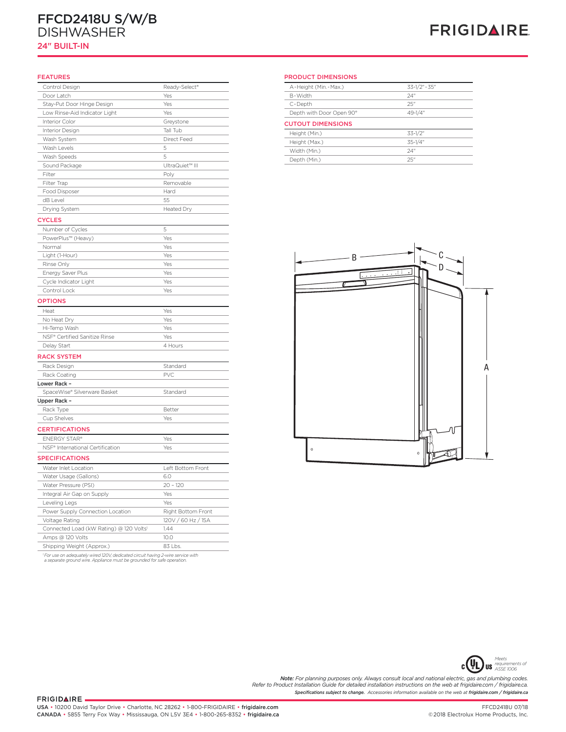## **24" Built-In Dishwasher**  FFCD2418U S/W/B DISHWASHER

### 24" BUILT-IN

## **FRIGIDAIRE**

#### FEATURES

| Control Design                                | Ready-Select®      | A-Height      |
|-----------------------------------------------|--------------------|---------------|
| Door Latch                                    | Yes                | B-Width       |
| Stay-Put Door Hinge Design                    | Yes                | C-Depth       |
| Low Rinse-Aid Indicator Light                 | Yes                | Depth wi      |
| Interior Color                                | Greystone          | <b>CUTOUT</b> |
| Interior Design                               | Tall Tub           | Height (N     |
| Wash System                                   | Direct Feed        | Height (N     |
| Wash Levels                                   | 5                  | Width (M      |
| Wash Speeds                                   | 5                  | Depth (M      |
| Sound Package                                 | UltraQuiet™ III    |               |
| Filter                                        | Poly               |               |
| Filter Trap                                   | Removable          |               |
| Food Disposer                                 | Hard               |               |
| dB Level                                      | 55                 |               |
| Drying System                                 | Heated Dry         |               |
| <b>CYCLES</b>                                 |                    |               |
| Number of Cycles                              | 5                  |               |
| PowerPlus™ (Heavy)                            | Yes                |               |
| Normal                                        | Yes                |               |
| Light (1-Hour)                                | Yes                |               |
| Rinse Only                                    | Yes                |               |
| Energy Saver Plus                             | Yes                |               |
| Cycle Indicator Light                         | Yes                |               |
| Control Lock                                  | Yes                |               |
| <b>OPTIONS</b>                                |                    |               |
| Heat                                          | Yes                |               |
| No Heat Dry                                   | Yes                |               |
| Hi-Temp Wash                                  | Yes                |               |
| NSF® Certified Sanitize Rinse                 | Yes                |               |
| Delay Start                                   | 4 Hours            |               |
| <b>RACK SYSTEM</b>                            |                    |               |
| Rack Design                                   | Standard           |               |
| Rack Coating                                  | <b>PVC</b>         |               |
| Lower Rack -                                  |                    |               |
| SpaceWise® Silverware Basket                  | Standard           |               |
| Upper Rack -                                  |                    |               |
| Rack Type                                     | Better             |               |
| Cup Shelves                                   | Yes                |               |
|                                               |                    |               |
| <b>CERTIFICATIONS</b><br><b>ENERGY STAR®</b>  | Yes                |               |
| NSF <sup>®</sup> International Certification  | Yes                |               |
|                                               |                    |               |
| <b>SPECIFICATIONS</b>                         |                    |               |
| Water Inlet Location                          | Left Bottom Front  |               |
| Water Usage (Gallons)                         | 6.0                |               |
| Water Pressure (PSI)                          | $20 - 120$         |               |
| Integral Air Gap on Supply                    | Yes                |               |
|                                               |                    |               |
| Leveling Legs                                 | Yes                |               |
| Power Supply Connection Location              | Right Bottom Front |               |
| Voltage Rating                                | 120V / 60 Hz / 15A |               |
| Connected Load (kW Rating) @ 120 Volts1       | 1.44               |               |
| Amps @ 120 Volts<br>Shipping Weight (Approx.) | 10.0<br>83 Lbs.    |               |

**PRODUCT DIMENSIONS** PRODUCT DIMENSIONS

| A-Height (Min.-Max.)     | $33-1/2" - 35"$ |  |
|--------------------------|-----------------|--|
| B-Width                  | 24"             |  |
| C-Depth                  | 25"             |  |
| Depth with Door Open 90° | $49 - 1/4$ "    |  |
| <b>CUTOUT DIMENSIONS</b> |                 |  |
| Height (Min.)            | $33 - 1/2$ "    |  |
| Height (Max.)            | $35 - 1/4$ "    |  |
| Width (Min.)             | 24"             |  |
| Depth (Min.)             | 25"             |  |





*Specifications subject to change. Accessories information available on the web at frigidaire.com / frigidaire.ca* **Note:** For planning purposes only. Always consult local and national electric, gas and plumbing codes.<br>Refer to Product Installation Guide for detailed installation instructions on the web at frigidaire.com / frigidaire.c